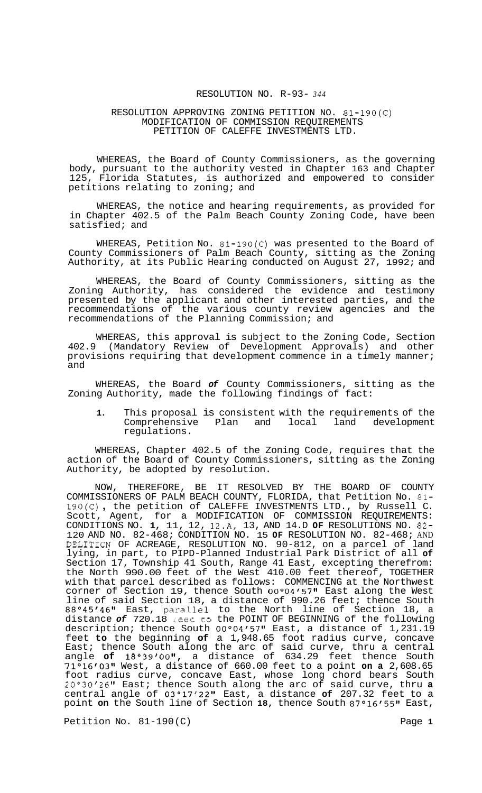# RESOLUTION NO. R-93- *344*

#### RESOLUTION APPROVING ZONING PETITION NO. 81-190(C) MODIFICATION OF COMMISSION REQUIREMENTS PETITION OF CALEFFE INVESTMENTS LTD.

WHEREAS, the Board of County Commissioners, as the governing body, pursuant to the authority vested in Chapter 163 and Chapter 125, Florida Statutes, is authorized and empowered to consider petitions relating to zoning; and

WHEREAS, the notice and hearing requirements, as provided for in Chapter 402.5 of the Palm Beach County Zoning Code, have been satisfied; and

WHEREAS, Petition No. 81-190(C) was presented to the Board of County Commissioners of Palm Beach County, sitting as the Zoning Authority, at its Public Hearing conducted on August 27, 1992; and

WHEREAS, the Board of County Commissioners, sitting as the Zoning Authority, has considered the evidence and testimony presented by the applicant and other interested parties, and the recommendations of the various county review agencies and the recommendations of the Planning Commission; and

WHEREAS, this approval is subject to the Zoning Code, Section 402.9 (Mandatory Review of Development Approvals) and other provisions requiring that development commence in a timely manner; and

WHEREAS, the Board *of* County Commissioners, sitting as the Zoning Authority, made the following findings of fact:

**1.** This proposal is consistent with the requirements of the Comprehensive Plan and local land development regulations.

WHEREAS, Chapter 402.5 of the Zoning Code, requires that the action of the Board of County Commissioners, sitting as the Zoning Authority, be adopted by resolution.

NOW, THEREFORE, BE IT RESOLVED BY THE BOARD OF COUNTY COMMISSIONERS OF PALM BEACH COUNTY, FLORIDA, that Petition No. 81- COMMISSIONERS OF PALM BEACH COUNTY, FLORIDA, that Petition No. 81-<br>190(C), the petition of CALEFFE INVESTMENTS LTD., by Russell C. Scott, Agent, for a MODIFICATION OF COMMISSION REQUIREMENTS: CONDITIONS NO. **1,** 11, 12, 12.A, 13, AND 14.D **OF** RESOLUTIONS NO. 82- 120 AND NO. 82-468; CONDITION NO. 15 **OF** RESOLUTION NO. 82-468; AND DELITION OF ACREAGE, RESOLUTION NO. 90-812, on a parcel of land lying, in part, to PIPD-Planned Industrial Park District of all **of**  Section 17, Township 41 South, Range 41 East, excepting therefrom: the North 990.00 feet of the West 410.00 feet thereof, TOGETHER with that parcel described as follows: COMMENCING at the Northwest corner of Section 19, thence South 00°04'57" East along the West line of said Section 18, a distance of 990.26 feet; thence South 88°45'46" East, parallel to the North line of Section 18, a distance *of* 720.18 **Leec co** the POINT OF BEGINNING of the following description; thence South 00°04f5711 East, a distance of 1,231.19 feet **to** the beginning **of** a 1,948.65 foot radius curve, concave East; thence South along the arc of said curve, thru a central angle of 18°39'00", a distance of 634.29 feet thence South 71°16'03'1 West, a distance of 660.00 feet to a point **on a** 2,608.65 foot radius curve, concave East, whose long chord bears South 20°30'26" East; thence South along the arc of said curve, thru **a** central angle of 03°17'22t1 East, a distance **of** 207.32 feet to a point on the South line of Section 18, thence South 87°16'55" East,

Petition No. 81-190 (C) Petition No. 81-190 (C)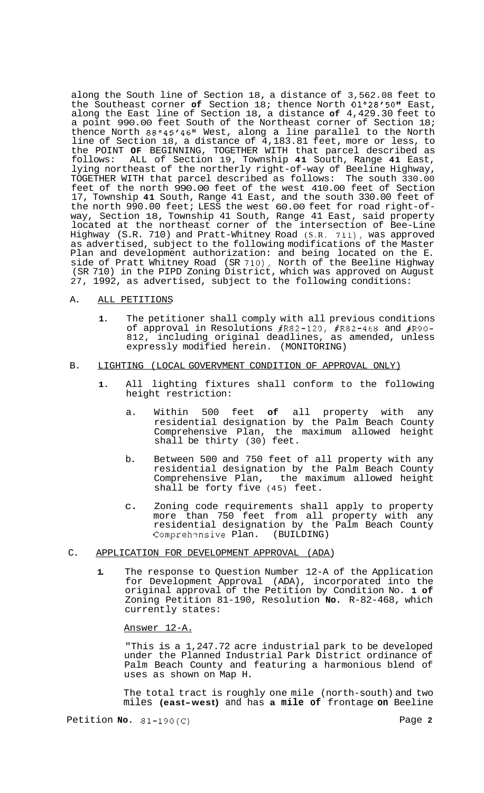along the South line of Section 18, a distance of 3,562.08 feet to the Southeast corner of Section 18; thence North 01°28'50" East, along the East line of Section 18, a distance **of** 4,429.30 feet to a point 990.00 feet South of the Northeast corner of Section 18; thence North 88°45'46" West, along a line parallel to the North line of Section 18, a distance of 4,183.81 feet, more or less, to the POINT **OF** BEGINNING, TOGETHER WITH that parcel described as follows: ALL of Section 19, Township **41** South, Range **41** East, lying northeast of the northerly right-of-way of Beeline Highway, TOGETHER WITH that parcel described as follows: The south 330.00 feet of the north 990.00 feet of the west 410.00 feet of Section 17, Township **41** South, Range 41 East, and the south 330.00 feet of the north 990.00 feet; LESS the west 60.00 feet for road right-of- way, Section 18, Township 41 South, Range 41 East, said property located at the northeast corner of the intersection of Bee-Line Highway (S.R. 710) and Pratt-Whitney Road (S.R. **711),** was approved as advertised, subject to the following modifications of the Master Plan and development authorization: and being located on the E. side of Pratt Whitney Road (SR **710),** North of the Beeline Highway (SR 710) in the PIPD Zoning District, which was approved on August 27, 1992, as advertised, subject to the following conditions:

### A. ALL PETITIONS

**1.** The petitioner shall comply with all previous conditions of approval in Resolutions #R82-120, #R82-468 and #R90- 812, including original deadlines, as amended, unless expressly modified herein. (MONITORING)

## B. LIGHTING (LOCAL GOVERVMENT CONDITION OF APPROVAL ONLY)

- **1.** All lighting fixtures shall conform to the following height restriction:
	- a. Within 500 feet **of** all property with any residential designation by the Palm Beach County Comprehensive Plan, the maximum allowed height shall be thirty (30) feet.
	- b. Between 500 and 750 feet of all property with any residential designation by the Palm Beach County Comprehensive Plan, the maximum allowed height shall be forty five (45) feet.
	- c. Zoning code requirements shall apply to property more than 750 feet from all property with any residential designation by the Palm Beach County Comprehznsive Plan. (BUILDING)

### C. APPLICATION FOR DEVELOPMENT APPROVAL (ADA)

**1.** The response to Question Number 12-A of the Application for Development Approval (ADA), incorporated into the original approval of the Petition by Condition No. **1 of**  Zoning Petition 81-190, Resolution **No.** R-82-468, which currently states:

#### Answer 12-A.

"This is a 1,247.72 acre industrial park to be developed under the Planned Industrial Park District ordinance of Palm Beach County and featuring a harmonious blend of uses as shown on Map H.

The total tract is roughly one mile (north-south) and two miles **(east-west)** and has **a mile of** frontage **on** Beeline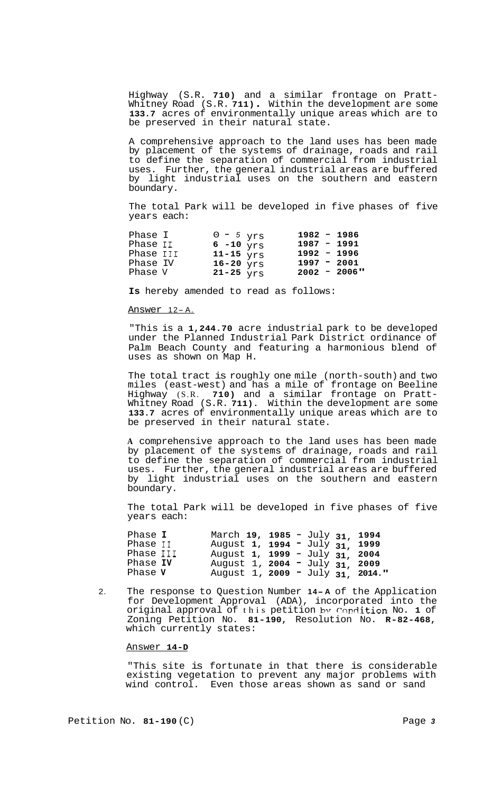Highway (S.R. **710)** and a similar frontage on Pratt- Whitney Road (S.R. **711)** . Within the development are some **133.7** acres of environmentally unique areas which are to be preserved in their natural state.

A comprehensive approach to the land uses has been made by placement of the systems of drainage, roads and rail to define the separation of commercial from industrial uses. Further, the general industrial areas are buffered by light industrial uses on the southern and eastern boundary.

The total Park will be developed in five phases of five years each:

| Phase I<br>Phase II<br>Phase III | $0 - 5$ yrs<br>6 $-10$ yrs<br>11-15 $_{\text{VTS}}$ | $1982 - 1986$<br>$1987 - 1991$<br>$1992 - 1996$ |
|----------------------------------|-----------------------------------------------------|-------------------------------------------------|
| Phase IV                         | $16-20$ yrs                                         | $1997 - 2001$                                   |
| Phase V                          | 21-25 $YTS$                                         | $2002 - 2006$ "                                 |

**Is** hereby amended to read as follows:

#### Answer 12-A.

"This is a **1,244.70** acre industrial park to be developed under the Planned Industrial Park District ordinance of Palm Beach County and featuring a harmonious blend of uses as shown on Map H.

The total tract is roughly one mile (north-south) and two miles (east-west) and has a mile of frontage on Beeline Highway (S.R. **710)** and a similar frontage on Pratt- Whitney Road (S.R. **711).** Within the development are some **133.7** acres of environmentally unique areas which are to be preserved in their natural state.

**A** comprehensive approach to the land uses has been made by placement of the systems of drainage, roads and rail to define the separation of commercial from industrial uses. Further, the general industrial areas are buffered by light industrial uses on the southern and eastern boundary.

The total Park will be developed in five phases of five years each:

| Phase I<br>Phase II<br>Phase III<br>Phase IV | March 19, 1985 - July 31, 1994<br>August 1, 1994 - July 31, 1999<br>August 1, 1999 - July 31, 2004<br>August 1, 2004 - July 31, 2009 |  |  |
|----------------------------------------------|--------------------------------------------------------------------------------------------------------------------------------------|--|--|
| Phase V                                      | August 1, 2009 - July 31, 2014."                                                                                                     |  |  |

2. The response to Question Number **14- <sup>A</sup>**of the Application for Development Approval (ADA), incorporated into the original approval of this petition by Condition No. 1 of Zoning Petition No. **81-190,** Resolution No. **R-82-468,**  which currently states:

#### Answer **14-D**

"This site is fortunate in that there is considerable existing vegetation to prevent any major problems with wind control. Even those areas shown as sand or sand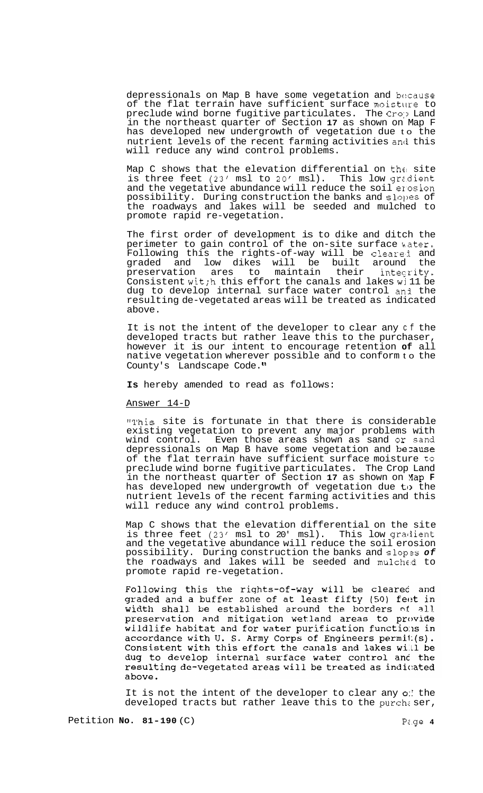depressionals on Map B have some vegetation and because of the flat terrain have sufficient surface moisture to preclude wind borne fugitive particulates. The Crop Land in the northeast quarter of Section **17** as shown on Map F has developed new undergrowth of vegetation due to the nutrient levels of the recent farming activities and this will reduce any wind control problems.

Map C shows that the elevation differential on the site is three feet **(23'** msl to *20'* msl). This low grzdient and the vegetative abundance will reduce the soil erosion possibility. During construction the banks and slo])es of the roadways and lakes will be seeded and mulched to promote rapid re-vegetation.

The first order of development is to dike and ditch the perimeter to gain control of the on-site surface kater. Following this the rights-of-way will be clearei and graded and low dikes will be built around the preservation ares to maintain their intecrity. Consistent wit; h this effort the canals and lakes will be dug to develop internal surface water control an3 the resulting de-vegetated areas will be treated as indicated above.

It is not the intent of the developer to clear any cf the developed tracts but rather leave this to the purchaser, however it is our intent to encourage retention **of** all native vegetation wherever possible and to conform to the County's Landscape Code.

**Is** hereby amended to read as follows:

#### Answer 14-D

"This site is fortunate in that there is considerable existing vegetation to prevent any major problems with wind control. Even those areas shown as sand or sand depressionals on Map B have some vegetation and because of the flat terrain have sufficient surface moisture to preclude wind borne fugitive particulates. The Crop Land in the northeast quarter of Section **17** as shown on Yap **F**  has developed new undergrowth of vegetation due to the nutrient levels of the recent farming activities and this will reduce any wind control problems.

Map C shows that the elevation differential on the site is three feet (23' msl to 20' msl). This low gradient and the vegetative abundance will reduce the soil erosion possibility. During construction the banks and slopzs *of*  the roadways and lakes will be seeded and mulched to promote rapid re-vegetation.

Following this the rights-of-way will be cleared and graded and a buffer zone of at least fifty (50) feet in width shall be established around the borders of all preservation and mitigation wetland areas to provide wildlife habitat and for water purification functions in accordance with U. S. Army Corps of Engineers permit(s). Consistent with this effort the canals and lakes will be dug to develop internal surface water control and the resulting de-vegetated areas will be treated as indicated above.

It is not the intent of the developer to clear any *0::* the developed tracts but rather leave this to the purchaser,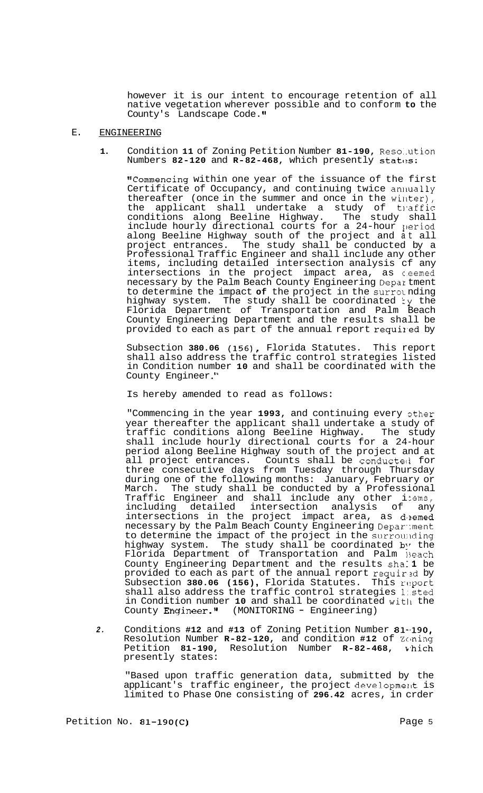however it is our intent to encourage retention of all native vegetation wherever possible and to conform **to** the County's Landscape Code. **'I** 

## E. ENGINEERING

1. Condition 11 of Zoning Petition Number 81-190, Resolution Numbers 82-120 and R-82-468, which presently states:

"Commencing within one year of the issuance of the first Certificate of Occupancy, and continuing twice annually thereafter (once in the summer and once in the winter), the applicant shall undertake a study of traffic conditions along Beeline Highway. The study shall include hourly directional courts for a 24-hour period along Beeline Highway south of the project and at all project entrances. The study shall be conducted by a Professional Traffic Engineer and shall include any other items, including detailed intersection analysis cf any intersections in the project impact area, as ceemed necessary by the Palm Beach County Engineering Depal tment to determine the impact of the project in the surrounding highway system. The study shall be coordinated ty the Florida Department of Transportation and Palm Beach County Engineering Department and the results shall be provided to each as part of the annual report required by

Subsection **380.06 (156),** Florida Statutes. This report shall also address the traffic control strategies listed in Condition number **10** and shall be coordinated with the County Engineer ."

Is hereby amended to read as follows:

"Commencing in the year 1993, and continuing every other year thereafter the applicant shall undertake a study of<br>traffic conditions along Beeline Highway. The study traffic conditions along Beeline Highway. shall include hourly directional courts for a 24-hour period along Beeline Highway south of the project and at all project entrances. Counts shall be conducted for three consecutive days from Tuesday through Thursday during one of the following months: January, February or March. The study shall be conducted by a Professional Traffic Engineer and shall include any other i :ems, including detailed intersection analysis of any intersections in the project impact area, as deemed necessary by the Palm Beach County Engineering Depar: ment to determine the impact of the project in the surrounding highway system. The study shall be coordinated **b:r** the Florida Department of Transportation and Palm 13each County Engineering Department and the results sha: **1** be provided to each as part of the annual report required by Subsection 380.06 (156), Florida Statutes. This report shall also address the traffic control strategies l:.sted in Condition number 10 and shall be coordinated with the<br>County Engineer." (MONITORING - Engineering)

*2.* Conditions **#12** and **#13** of Zoning Petition Number **81-,190,**  Resolution Number R-82-120, and condition #12 of Zening<br>Petition 81-190, Resolution Number R-82-468, vhich Petition 81-190, Resolution Number **R-82-468**, presently states:

"Based upon traffic generation data, submitted by the applicant's traffic engineer, the project development is limited to Phase One consisting of **296.42** acres, in crder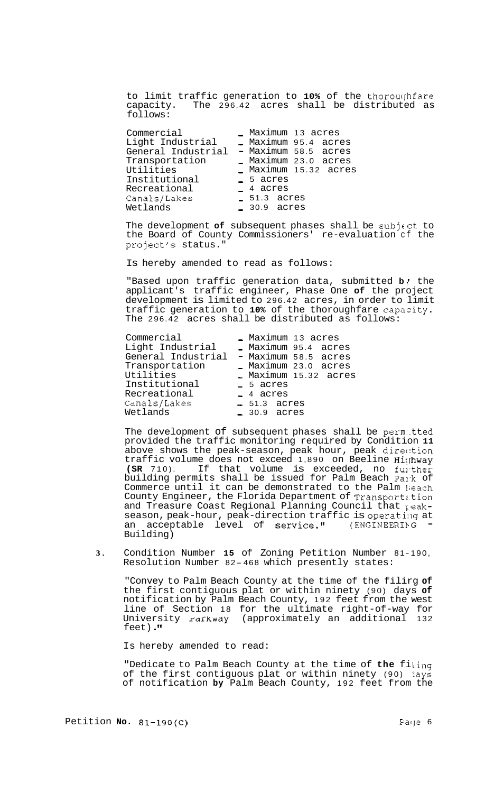to limit traffic generation to 10% of the thoroughfare<br>capacity. The 296.42 acres shall be distributed as The  $296.42$  acres shall be distributed as follows:

The development **of** subsequent phases shall be subjcct to the Board of County Commissioners' re-evaluation cf the project's status."

Is hereby amended to read as follows:

"Based upon traffic generation data, submitted **b**/ the applicant's traffic engineer, Phase One **of** the project development is limited to 296.42 acres, in order to limit traffic generation to **10%** of the thoroughfare capazity. The 296.42 acres shall be distributed as follows:

| Commercial               | - Maximum 13 acres    |  |
|--------------------------|-----------------------|--|
| Light Industrial         | Maximum 95.4 acres    |  |
| General Industrial       | - Maximum 58.5 acres  |  |
| Transportation           | - Maximum 23.0 acres  |  |
| Utilities                | - Maximum 15.32 acres |  |
| Institutional            | $-5$ acres            |  |
| Recreational             | $-4$ acres            |  |
|                          |                       |  |
| Canals/Lakes<br>Wetlands | $-51.3$ acres         |  |
|                          | $= 30.9$ acres        |  |

The development of subsequent phases shall be perm..tted provided the traffic monitoring required by Condition **11**  above shows the peak-season, peak hour, peak direc:tion traffic volume does not exceed 1,890 on Beeline Hi(hway **(SR** 710). If that volume is exceeded, no fulther building permits shall be issued for Palm Beach Pa1-k of Commerce until it can be demonstrated to the Palm Heach County Engineer, the Florida Department of Transportation and Treasure Coast Regional Planning Council that  $\chi$  eakseason, peak-hour, peak-direction traffic is operating at<br>an acceptable level of service." (ENGINEERING = an acceptable level of service." Building)

**3.** Condition Number **15** of Zoning Petition Number 8 1 - 190, Resolution Number 82-468 which presently states:

"Convey to Palm Beach County at the time of the filirg **of**  the first contiguous plat or within ninety (90) days **of**  notification by Palm Beach County, 192 feet from the west line of Section 18 for the ultimate right-of-way for University rarkway (approximately an additional 132 feet) .

Is hereby amended to read:

"Dedicate to Palm Beach County at the time of the filing of the first contiguous plat or within ninety (90) jays of notification **by** Palm Beach County, 192 feet from the